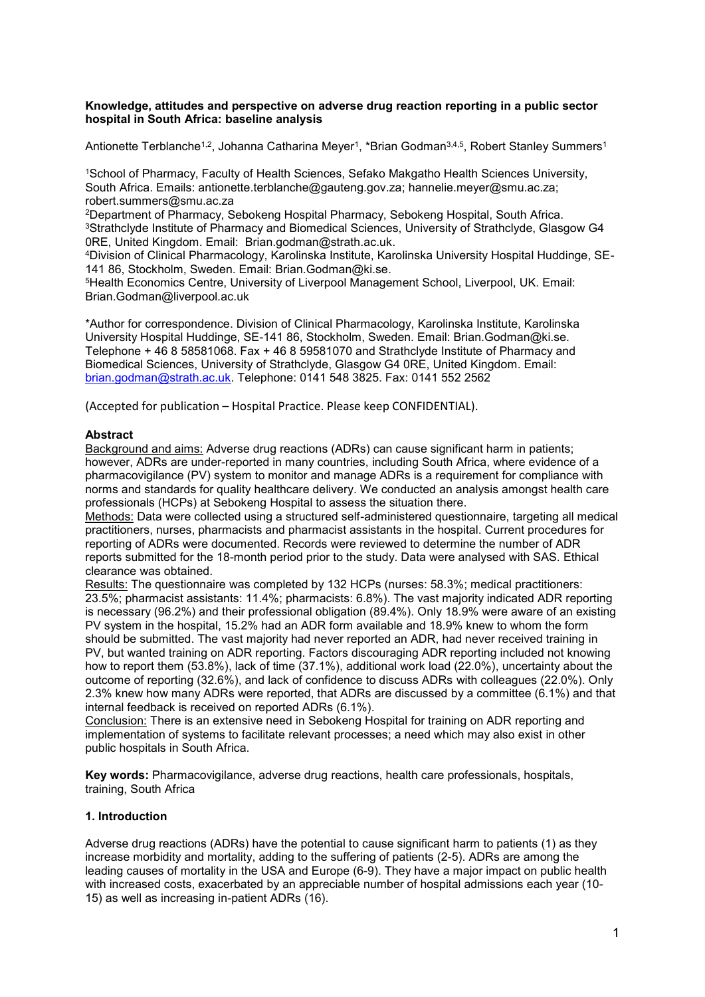#### **Knowledge, attitudes and perspective on adverse drug reaction reporting in a public sector hospital in South Africa: baseline analysis**

Antionette Terblanche<sup>1,2</sup>, Johanna Catharina Meyer<sup>1</sup>, \*Brian Godman<sup>3,4,5</sup>, Robert Stanley Summers<sup>1</sup>

<sup>1</sup>School of Pharmacy, Faculty of Health Sciences, Sefako Makgatho Health Sciences University, South Africa. Emails: [antionette.terblanche@gauteng.gov.za;](mailto:antionette.terblanche@gauteng.gov.za) [hannelie.meyer@smu.ac.za;](mailto:hannelie.meyer@smu.ac.za) robert.summers@smu.ac.za

<sup>2</sup>Department of Pharmacy, Sebokeng Hospital Pharmacy, Sebokeng Hospital, South Africa. <sup>3</sup>Strathclyde Institute of Pharmacy and Biomedical Sciences, University of Strathclyde, Glasgow G4 0RE, United Kingdom. Email: [Brian.godman@strath.ac.uk.](mailto:Brian.godman@strath.ac.uk)

4Division of Clinical Pharmacology, Karolinska Institute, Karolinska University Hospital Huddinge, SE-141 86, Stockholm, Sweden. Email: [Brian.Godman@ki.se.](mailto:Brian.Godman@ki.se)

<sup>5</sup>Health Economics Centre, University of Liverpool Management School, Liverpool, UK. Email: Brian.Godman@liverpool.ac.uk

\*Author for correspondence. Division of Clinical Pharmacology, Karolinska Institute, Karolinska University Hospital Huddinge, SE-141 86, Stockholm, Sweden. Email: Brian.Godman@ki.se. Telephone + 46 8 58581068. Fax + 46 8 59581070 and Strathclyde Institute of Pharmacy and Biomedical Sciences, University of Strathclyde, Glasgow G4 0RE, United Kingdom. Email: [brian.godman@strath.ac.uk.](mailto:Brian.godman@strath.ac.uk) Telephone: 0141 548 3825. Fax: 0141 552 2562

(Accepted for publication – Hospital Practice. Please keep CONFIDENTIAL).

#### **Abstract**

Background and aims: Adverse drug reactions (ADRs) can cause significant harm in patients; however, ADRs are under-reported in many countries, including South Africa, where evidence of a pharmacovigilance (PV) system to monitor and manage ADRs is a requirement for compliance with norms and standards for quality healthcare delivery. We conducted an analysis amongst health care professionals (HCPs) at Sebokeng Hospital to assess the situation there.

Methods: Data were collected using a structured self-administered questionnaire, targeting all medical practitioners, nurses, pharmacists and pharmacist assistants in the hospital. Current procedures for reporting of ADRs were documented. Records were reviewed to determine the number of ADR reports submitted for the 18-month period prior to the study. Data were analysed with SAS. Ethical clearance was obtained.

Results: The questionnaire was completed by 132 HCPs (nurses: 58.3%; medical practitioners: 23.5%; pharmacist assistants: 11.4%; pharmacists: 6.8%). The vast majority indicated ADR reporting is necessary (96.2%) and their professional obligation (89.4%). Only 18.9% were aware of an existing PV system in the hospital, 15.2% had an ADR form available and 18.9% knew to whom the form should be submitted. The vast majority had never reported an ADR, had never received training in PV, but wanted training on ADR reporting. Factors discouraging ADR reporting included not knowing how to report them (53.8%), lack of time (37.1%), additional work load (22.0%), uncertainty about the outcome of reporting (32.6%), and lack of confidence to discuss ADRs with colleagues (22.0%). Only 2.3% knew how many ADRs were reported, that ADRs are discussed by a committee (6.1%) and that internal feedback is received on reported ADRs (6.1%).

Conclusion: There is an extensive need in Sebokeng Hospital for training on ADR reporting and implementation of systems to facilitate relevant processes; a need which may also exist in other public hospitals in South Africa.

**Key words:** Pharmacovigilance, adverse drug reactions, health care professionals, hospitals, training, South Africa

## **1. Introduction**

Adverse drug reactions (ADRs) have the potential to cause significant harm to patients (1) as they increase morbidity and mortality, adding to the suffering of patients (2-5). ADRs are among the leading causes of mortality in the USA and Europe (6-9). They have a major impact on public health with increased costs, exacerbated by an appreciable number of hospital admissions each year (10- 15) as well as increasing in-patient ADRs (16).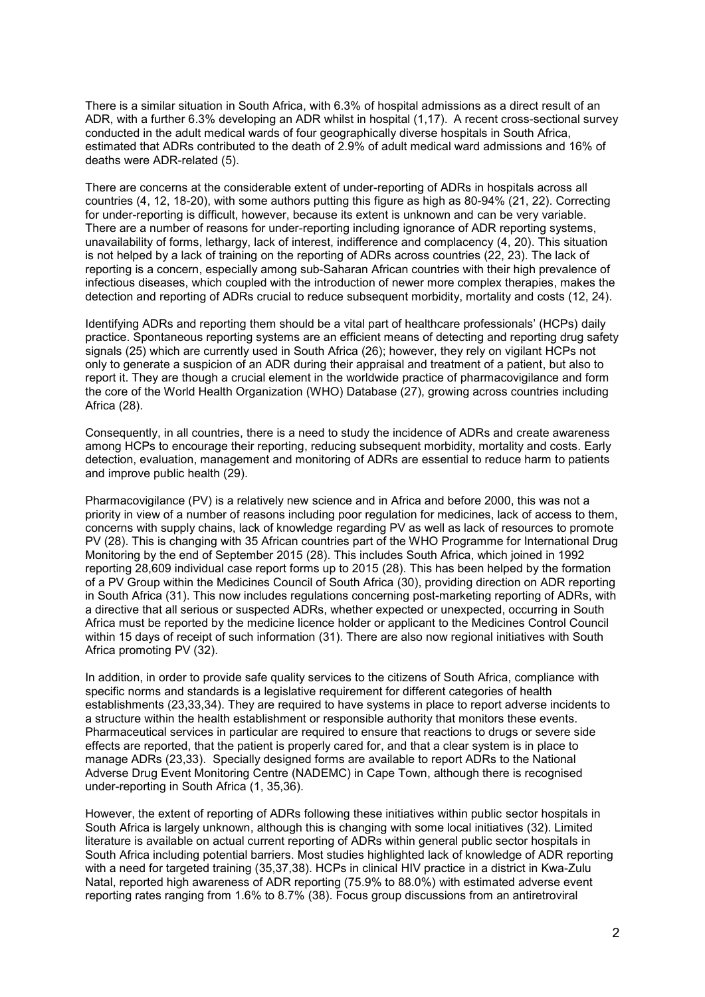There is a similar situation in South Africa, with 6.3% of hospital admissions as a direct result of an ADR, with a further 6.3% developing an ADR whilst in hospital (1,17). A recent cross-sectional survey conducted in the adult medical wards of four geographically diverse hospitals in South Africa, estimated that ADRs contributed to the death of 2.9% of adult medical ward admissions and 16% of deaths were ADR-related (5).

There are concerns at the considerable extent of under-reporting of ADRs in hospitals across all countries (4, 12, 18-20), with some authors putting this figure as high as 80-94% (21, 22). Correcting for under-reporting is difficult, however, because its extent is unknown and can be very variable. There are a number of reasons for under-reporting including ignorance of ADR reporting systems, unavailability of forms, lethargy, lack of interest, indifference and complacency (4, 20). This situation is not helped by a lack of training on the reporting of ADRs across countries (22, 23). The lack of reporting is a concern, especially among sub-Saharan African countries with their high prevalence of infectious diseases, which coupled with the introduction of newer more complex therapies, makes the detection and reporting of ADRs crucial to reduce subsequent morbidity, mortality and costs (12, 24).

Identifying ADRs and reporting them should be a vital part of healthcare professionals' (HCPs) daily practice. Spontaneous reporting systems are an efficient means of detecting and reporting drug safety signals (25) which are currently used in South Africa (26); however, they rely on vigilant HCPs not only to generate a suspicion of an ADR during their appraisal and treatment of a patient, but also to report it. They are though a crucial element in the worldwide practice of pharmacovigilance and form the core of the World Health Organization (WHO) Database (27), growing across countries including Africa (28).

Consequently, in all countries, there is a need to study the incidence of ADRs and create awareness among HCPs to encourage their reporting, reducing subsequent morbidity, mortality and costs. Early detection, evaluation, management and monitoring of ADRs are essential to reduce harm to patients and improve public health (29).

Pharmacovigilance (PV) is a relatively new science and in Africa and before 2000, this was not a priority in view of a number of reasons including poor regulation for medicines, lack of access to them, concerns with supply chains, lack of knowledge regarding PV as well as lack of resources to promote PV (28). This is changing with 35 African countries part of the WHO Programme for International Drug Monitoring by the end of September 2015 (28). This includes South Africa, which joined in 1992 reporting 28,609 individual case report forms up to 2015 (28). This has been helped by the formation of a PV Group within the Medicines Council of South Africa (30), providing direction on ADR reporting in South Africa (31). This now includes regulations concerning post-marketing reporting of ADRs, with a directive that all serious or suspected ADRs, whether expected or unexpected, occurring in South Africa must be reported by the medicine licence holder or applicant to the Medicines Control Council within 15 days of receipt of such information (31). There are also now regional initiatives with South Africa promoting PV (32).

In addition, in order to provide safe quality services to the citizens of South Africa, compliance with specific norms and standards is a legislative requirement for different categories of health establishments (23,33,34). They are required to have systems in place to report adverse incidents to a structure within the health establishment or responsible authority that monitors these events. Pharmaceutical services in particular are required to ensure that reactions to drugs or severe side effects are reported, that the patient is properly cared for, and that a clear system is in place to manage ADRs (23,33). Specially designed forms are available to report ADRs to the National Adverse Drug Event Monitoring Centre (NADEMC) in Cape Town, although there is recognised under-reporting in South Africa (1, 35,36).

However, the extent of reporting of ADRs following these initiatives within public sector hospitals in South Africa is largely unknown, although this is changing with some local initiatives (32). Limited literature is available on actual current reporting of ADRs within general public sector hospitals in South Africa including potential barriers. Most studies highlighted lack of knowledge of ADR reporting with a need for targeted training (35,37,38). HCPs in clinical HIV practice in a district in Kwa-Zulu Natal, reported high awareness of ADR reporting (75.9% to 88.0%) with estimated adverse event reporting rates ranging from 1.6% to 8.7% (38). Focus group discussions from an antiretroviral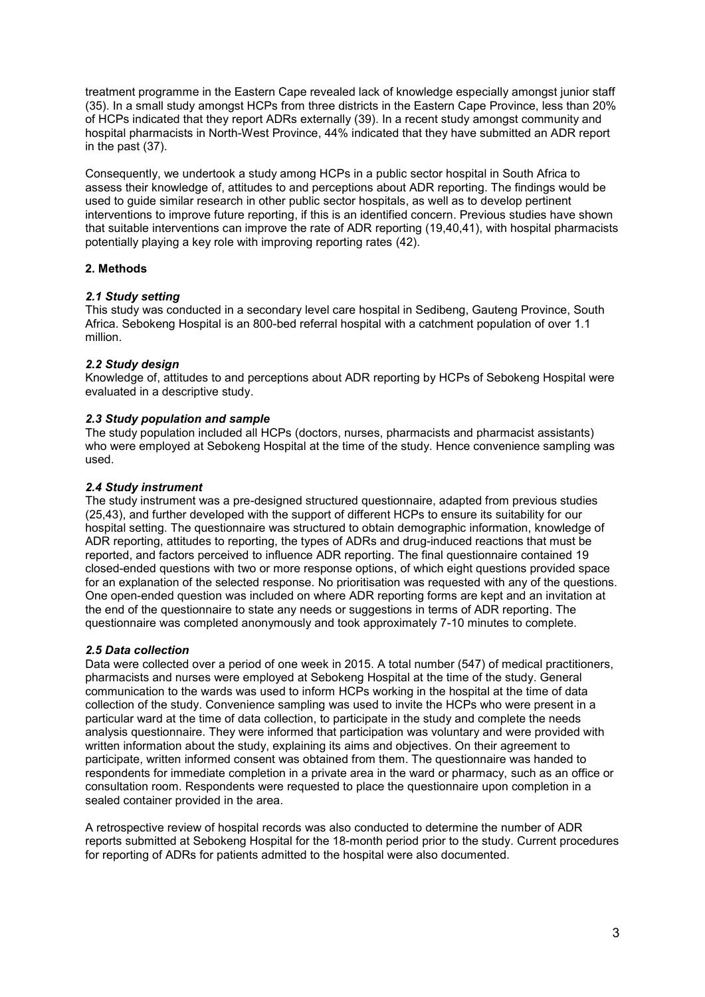treatment programme in the Eastern Cape revealed lack of knowledge especially amongst junior staff (35). In a small study amongst HCPs from three districts in the Eastern Cape Province, less than 20% of HCPs indicated that they report ADRs externally (39). In a recent study amongst community and hospital pharmacists in North-West Province, 44% indicated that they have submitted an ADR report in the past (37).

Consequently, we undertook a study among HCPs in a public sector hospital in South Africa to assess their knowledge of, attitudes to and perceptions about ADR reporting. The findings would be used to guide similar research in other public sector hospitals, as well as to develop pertinent interventions to improve future reporting, if this is an identified concern. Previous studies have shown that suitable interventions can improve the rate of ADR reporting (19,40,41), with hospital pharmacists potentially playing a key role with improving reporting rates (42).

## **2. Methods**

#### *2.1 Study setting*

This study was conducted in a secondary level care hospital in Sedibeng, Gauteng Province, South Africa. Sebokeng Hospital is an 800-bed referral hospital with a catchment population of over 1.1 million.

#### *2.2 Study design*

Knowledge of, attitudes to and perceptions about ADR reporting by HCPs of Sebokeng Hospital were evaluated in a descriptive study.

#### *2.3 Study population and sample*

The study population included all HCPs (doctors, nurses, pharmacists and pharmacist assistants) who were employed at Sebokeng Hospital at the time of the study. Hence convenience sampling was used.

#### *2.4 Study instrument*

The study instrument was a pre-designed structured questionnaire, adapted from previous studies (25,43), and further developed with the support of different HCPs to ensure its suitability for our hospital setting. The questionnaire was structured to obtain demographic information, knowledge of ADR reporting, attitudes to reporting, the types of ADRs and drug-induced reactions that must be reported, and factors perceived to influence ADR reporting. The final questionnaire contained 19 closed-ended questions with two or more response options, of which eight questions provided space for an explanation of the selected response. No prioritisation was requested with any of the questions. One open-ended question was included on where ADR reporting forms are kept and an invitation at the end of the questionnaire to state any needs or suggestions in terms of ADR reporting. The questionnaire was completed anonymously and took approximately 7-10 minutes to complete.

#### *2.5 Data collection*

Data were collected over a period of one week in 2015. A total number (547) of medical practitioners, pharmacists and nurses were employed at Sebokeng Hospital at the time of the study. General communication to the wards was used to inform HCPs working in the hospital at the time of data collection of the study. Convenience sampling was used to invite the HCPs who were present in a particular ward at the time of data collection, to participate in the study and complete the needs analysis questionnaire. They were informed that participation was voluntary and were provided with written information about the study, explaining its aims and objectives. On their agreement to participate, written informed consent was obtained from them. The questionnaire was handed to respondents for immediate completion in a private area in the ward or pharmacy, such as an office or consultation room. Respondents were requested to place the questionnaire upon completion in a sealed container provided in the area.

A retrospective review of hospital records was also conducted to determine the number of ADR reports submitted at Sebokeng Hospital for the 18-month period prior to the study. Current procedures for reporting of ADRs for patients admitted to the hospital were also documented.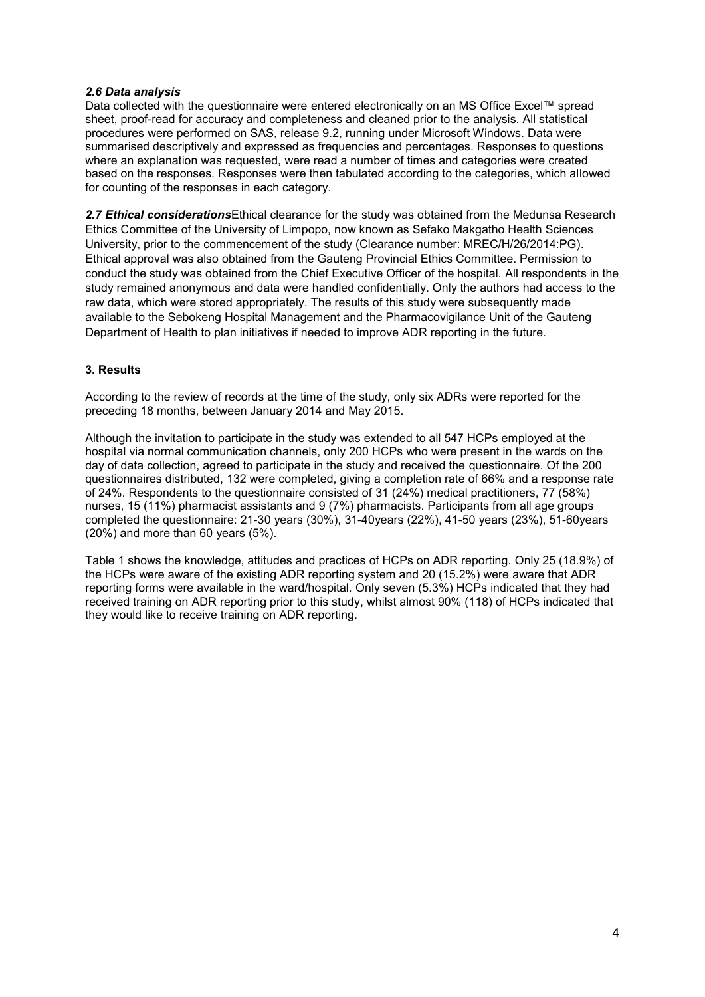## *2.6 Data analysis*

Data collected with the questionnaire were entered electronically on an MS Office Excel™ spread sheet, proof-read for accuracy and completeness and cleaned prior to the analysis. All statistical procedures were performed on SAS, release 9.2, running under Microsoft Windows. Data were summarised descriptively and expressed as frequencies and percentages. Responses to questions where an explanation was requested, were read a number of times and categories were created based on the responses. Responses were then tabulated according to the categories, which allowed for counting of the responses in each category.

*2.7 Ethical considerations*Ethical clearance for the study was obtained from the Medunsa Research Ethics Committee of the University of Limpopo, now known as Sefako Makgatho Health Sciences University, prior to the commencement of the study (Clearance number: MREC/H/26/2014:PG). Ethical approval was also obtained from the Gauteng Provincial Ethics Committee. Permission to conduct the study was obtained from the Chief Executive Officer of the hospital. All respondents in the study remained anonymous and data were handled confidentially. Only the authors had access to the raw data, which were stored appropriately. The results of this study were subsequently made available to the Sebokeng Hospital Management and the Pharmacovigilance Unit of the Gauteng Department of Health to plan initiatives if needed to improve ADR reporting in the future.

## **3. Results**

According to the review of records at the time of the study, only six ADRs were reported for the preceding 18 months, between January 2014 and May 2015.

Although the invitation to participate in the study was extended to all 547 HCPs employed at the hospital via normal communication channels, only 200 HCPs who were present in the wards on the day of data collection, agreed to participate in the study and received the questionnaire. Of the 200 questionnaires distributed, 132 were completed, giving a completion rate of 66% and a response rate of 24%. Respondents to the questionnaire consisted of 31 (24%) medical practitioners, 77 (58%) nurses, 15 (11%) pharmacist assistants and 9 (7%) pharmacists. Participants from all age groups completed the questionnaire: 21-30 years (30%), 31-40years (22%), 41-50 years (23%), 51-60years (20%) and more than 60 years (5%).

Table 1 shows the knowledge, attitudes and practices of HCPs on ADR reporting. Only 25 (18.9%) of the HCPs were aware of the existing ADR reporting system and 20 (15.2%) were aware that ADR reporting forms were available in the ward/hospital. Only seven (5.3%) HCPs indicated that they had received training on ADR reporting prior to this study, whilst almost 90% (118) of HCPs indicated that they would like to receive training on ADR reporting.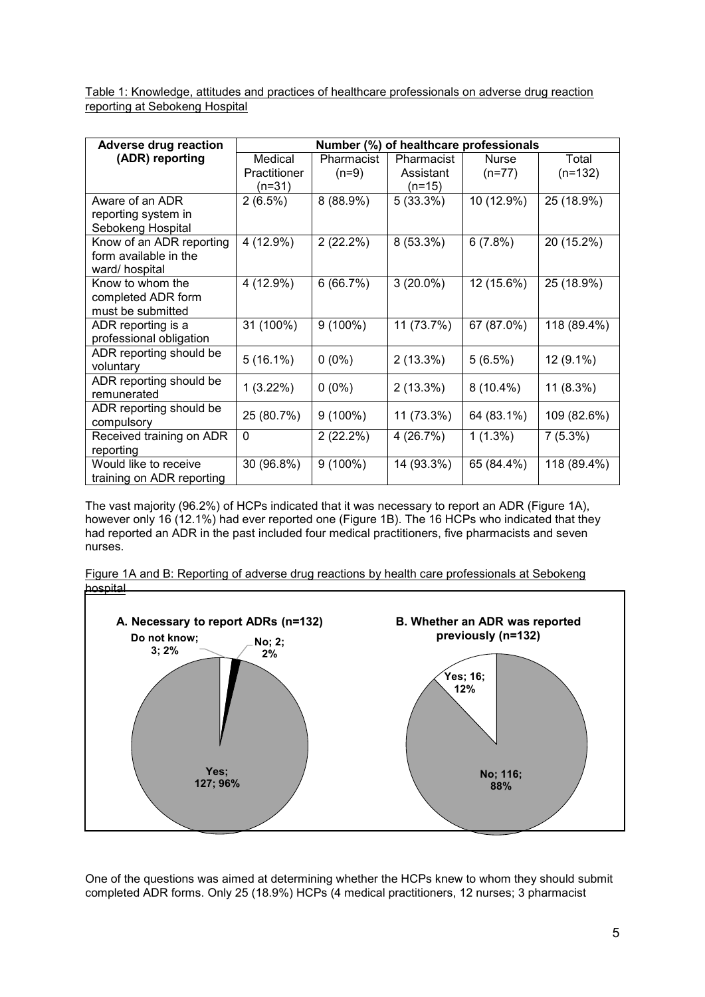Table 1: Knowledge, attitudes and practices of healthcare professionals on adverse drug reaction reporting at Sebokeng Hospital

| <b>Adverse drug reaction</b>         | Number (%) of healthcare professionals |            |             |              |             |
|--------------------------------------|----------------------------------------|------------|-------------|--------------|-------------|
| (ADR) reporting                      | Medical                                | Pharmacist | Pharmacist  | <b>Nurse</b> | Total       |
|                                      | Practitioner                           | $(n=9)$    | Assistant   | $(n=77)$     | $(n=132)$   |
|                                      | (n=31)                                 |            | $(n=15)$    |              |             |
| Aware of an ADR                      | 2(6.5%)                                | 8 (88.9%)  | $5(33.3\%)$ | 10 (12.9%)   | 25 (18.9%)  |
| reporting system in                  |                                        |            |             |              |             |
| Sebokeng Hospital                    |                                        |            |             |              |             |
| Know of an ADR reporting             | 4 (12.9%)                              | 2(22.2%)   | 8 (53.3%)   | 6(7.8%)      | 20 (15.2%)  |
| form available in the                |                                        |            |             |              |             |
| ward/hospital                        |                                        |            |             |              |             |
| Know to whom the                     | 4 (12.9%)                              | 6(66.7%)   | $3(20.0\%)$ | 12 (15.6%)   | 25 (18.9%)  |
| completed ADR form                   |                                        |            |             |              |             |
| must be submitted                    |                                        |            |             |              |             |
| ADR reporting is a                   | 31 (100%)                              | $9(100\%)$ | 11 (73.7%)  | 67 (87.0%)   | 118 (89.4%) |
| professional obligation              |                                        |            |             |              |             |
| ADR reporting should be<br>voluntary | $5(16.1\%)$                            | $0(0\%)$   | $2(13.3\%)$ | 5(6.5%)      | $12(9.1\%)$ |
| ADR reporting should be              |                                        |            |             |              |             |
| remunerated                          | $1(3.22\%)$                            | $0(0\%)$   | $2(13.3\%)$ | $8(10.4\%)$  | $11(8.3\%)$ |
| ADR reporting should be              | 25 (80.7%)                             | $9(100\%)$ | 11 (73.3%)  | 64 (83.1%)   | 109 (82.6%) |
| compulsory                           |                                        |            |             |              |             |
| Received training on ADR             | $\mathbf{0}$                           | 2(22.2%)   | 4 (26.7%)   | $1(1.3\%)$   | 7(5.3%)     |
| reporting                            |                                        |            |             |              |             |
| Would like to receive                | 30 (96.8%)                             | $9(100\%)$ | 14 (93.3%)  | 65 (84.4%)   | 118 (89.4%) |
| training on ADR reporting            |                                        |            |             |              |             |

The vast majority (96.2%) of HCPs indicated that it was necessary to report an ADR (Figure 1A), however only 16 (12.1%) had ever reported one (Figure 1B). The 16 HCPs who indicated that they had reported an ADR in the past included four medical practitioners, five pharmacists and seven nurses.

Figure 1A and B: Reporting of adverse drug reactions by health care professionals at Sebokeng hospital



One of the questions was aimed at determining whether the HCPs knew to whom they should submit completed ADR forms. Only 25 (18.9%) HCPs (4 medical practitioners, 12 nurses; 3 pharmacist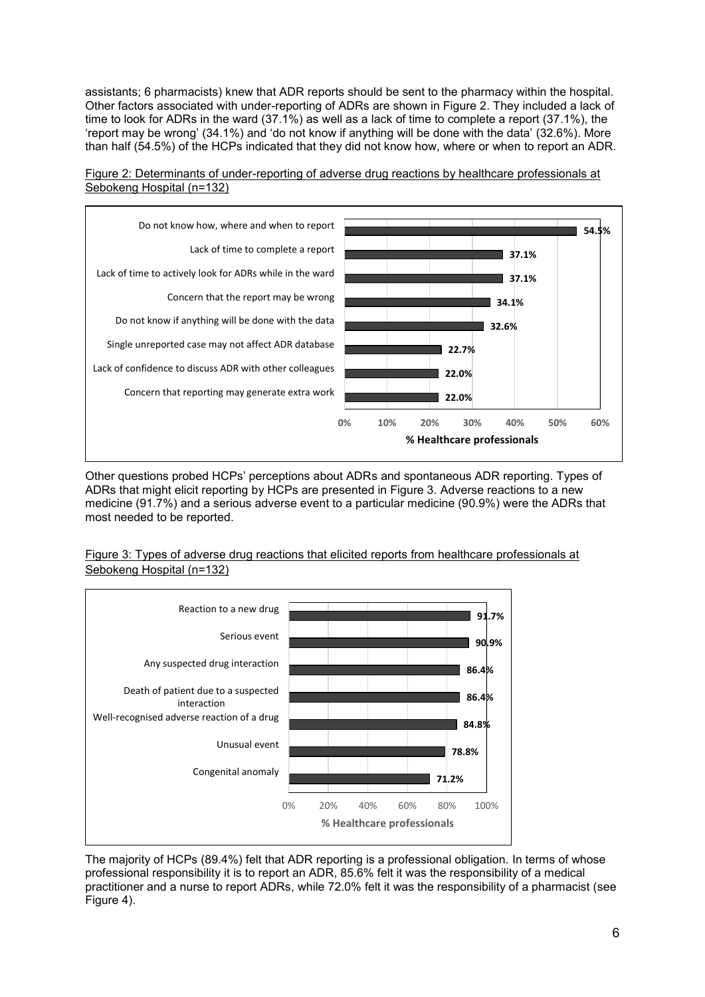assistants; 6 pharmacists) knew that ADR reports should be sent to the pharmacy within the hospital. Other factors associated with under-reporting of ADRs are shown in Figure 2. They included a lack of time to look for ADRs in the ward (37.1%) as well as a lack of time to complete a report (37.1%), the 'report may be wrong' (34.1%) and 'do not know if anything will be done with the data' (32.6%). More than half (54.5%) of the HCPs indicated that they did not know how, where or when to report an ADR.





Other questions probed HCPs' perceptions about ADRs and spontaneous ADR reporting. Types of ADRs that might elicit reporting by HCPs are presented in Figure 3. Adverse reactions to a new medicine (91.7%) and a serious adverse event to a particular medicine (90.9%) were the ADRs that most needed to be reported.

Figure 3: Types of adverse drug reactions that elicited reports from healthcare professionals at Sebokeng Hospital (n=132)



The majority of HCPs (89.4%) felt that ADR reporting is a professional obligation. In terms of whose professional responsibility it is to report an ADR, 85.6% felt it was the responsibility of a medical practitioner and a nurse to report ADRs, while 72.0% felt it was the responsibility of a pharmacist (see Figure 4).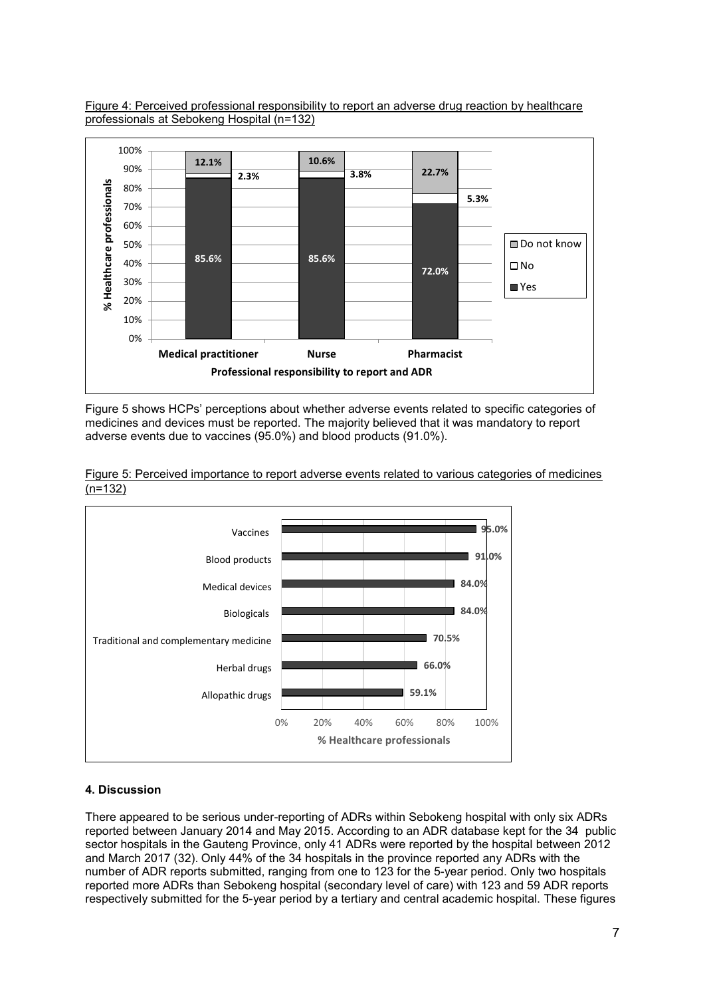



Figure 5 shows HCPs' perceptions about whether adverse events related to specific categories of medicines and devices must be reported. The majority believed that it was mandatory to report adverse events due to vaccines (95.0%) and blood products (91.0%).





# **4. Discussion**

There appeared to be serious under-reporting of ADRs within Sebokeng hospital with only six ADRs reported between January 2014 and May 2015. According to an ADR database kept for the 34 public sector hospitals in the Gauteng Province, only 41 ADRs were reported by the hospital between 2012 and March 2017 (32). Only 44% of the 34 hospitals in the province reported any ADRs with the number of ADR reports submitted, ranging from one to 123 for the 5-year period. Only two hospitals reported more ADRs than Sebokeng hospital (secondary level of care) with 123 and 59 ADR reports respectively submitted for the 5-year period by a tertiary and central academic hospital. These figures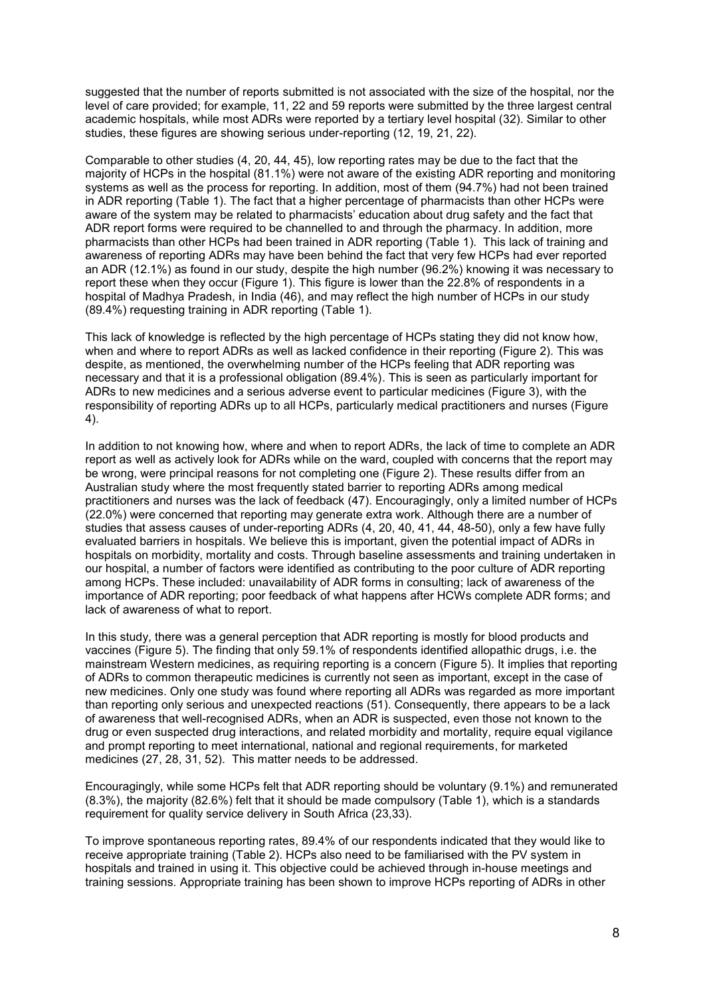suggested that the number of reports submitted is not associated with the size of the hospital, nor the level of care provided; for example, 11, 22 and 59 reports were submitted by the three largest central academic hospitals, while most ADRs were reported by a tertiary level hospital (32). Similar to other studies, these figures are showing serious under-reporting (12, 19, 21, 22).

Comparable to other studies (4, 20, 44, 45), low reporting rates may be due to the fact that the majority of HCPs in the hospital (81.1%) were not aware of the existing ADR reporting and monitoring systems as well as the process for reporting. In addition, most of them (94.7%) had not been trained in ADR reporting (Table 1). The fact that a higher percentage of pharmacists than other HCPs were aware of the system may be related to pharmacists' education about drug safety and the fact that ADR report forms were required to be channelled to and through the pharmacy. In addition, more pharmacists than other HCPs had been trained in ADR reporting (Table 1). This lack of training and awareness of reporting ADRs may have been behind the fact that very few HCPs had ever reported an ADR (12.1%) as found in our study, despite the high number (96.2%) knowing it was necessary to report these when they occur (Figure 1). This figure is lower than the 22.8% of respondents in a hospital of Madhya Pradesh, in India (46), and may reflect the high number of HCPs in our study (89.4%) requesting training in ADR reporting (Table 1).

This lack of knowledge is reflected by the high percentage of HCPs stating they did not know how, when and where to report ADRs as well as lacked confidence in their reporting (Figure 2). This was despite, as mentioned, the overwhelming number of the HCPs feeling that ADR reporting was necessary and that it is a professional obligation (89.4%). This is seen as particularly important for ADRs to new medicines and a serious adverse event to particular medicines (Figure 3), with the responsibility of reporting ADRs up to all HCPs, particularly medical practitioners and nurses (Figure 4).

In addition to not knowing how, where and when to report ADRs, the lack of time to complete an ADR report as well as actively look for ADRs while on the ward, coupled with concerns that the report may be wrong, were principal reasons for not completing one (Figure 2). These results differ from an Australian study where the most frequently stated barrier to reporting ADRs among medical practitioners and nurses was the lack of feedback (47). Encouragingly, only a limited number of HCPs (22.0%) were concerned that reporting may generate extra work. Although there are a number of studies that assess causes of under-reporting ADRs (4, 20, 40, 41, 44, 48-50), only a few have fully evaluated barriers in hospitals. We believe this is important, given the potential impact of ADRs in hospitals on morbidity, mortality and costs. Through baseline assessments and training undertaken in our hospital, a number of factors were identified as contributing to the poor culture of ADR reporting among HCPs. These included: unavailability of ADR forms in consulting; lack of awareness of the importance of ADR reporting; poor feedback of what happens after HCWs complete ADR forms; and lack of awareness of what to report.

In this study, there was a general perception that ADR reporting is mostly for blood products and vaccines (Figure 5). The finding that only 59.1% of respondents identified allopathic drugs, i.e. the mainstream Western medicines, as requiring reporting is a concern (Figure 5). It implies that reporting of ADRs to common therapeutic medicines is currently not seen as important, except in the case of new medicines. Only one study was found where reporting all ADRs was regarded as more important than reporting only serious and unexpected reactions (51). Consequently, there appears to be a lack of awareness that well-recognised ADRs, when an ADR is suspected, even those not known to the drug or even suspected drug interactions, and related morbidity and mortality, require equal vigilance and prompt reporting to meet international, national and regional requirements, for marketed medicines (27, 28, 31, 52). This matter needs to be addressed.

Encouragingly, while some HCPs felt that ADR reporting should be voluntary (9.1%) and remunerated (8.3%), the majority (82.6%) felt that it should be made compulsory (Table 1), which is a standards requirement for quality service delivery in South Africa (23,33).

To improve spontaneous reporting rates, 89.4% of our respondents indicated that they would like to receive appropriate training (Table 2). HCPs also need to be familiarised with the PV system in hospitals and trained in using it. This objective could be achieved through in-house meetings and training sessions. Appropriate training has been shown to improve HCPs reporting of ADRs in other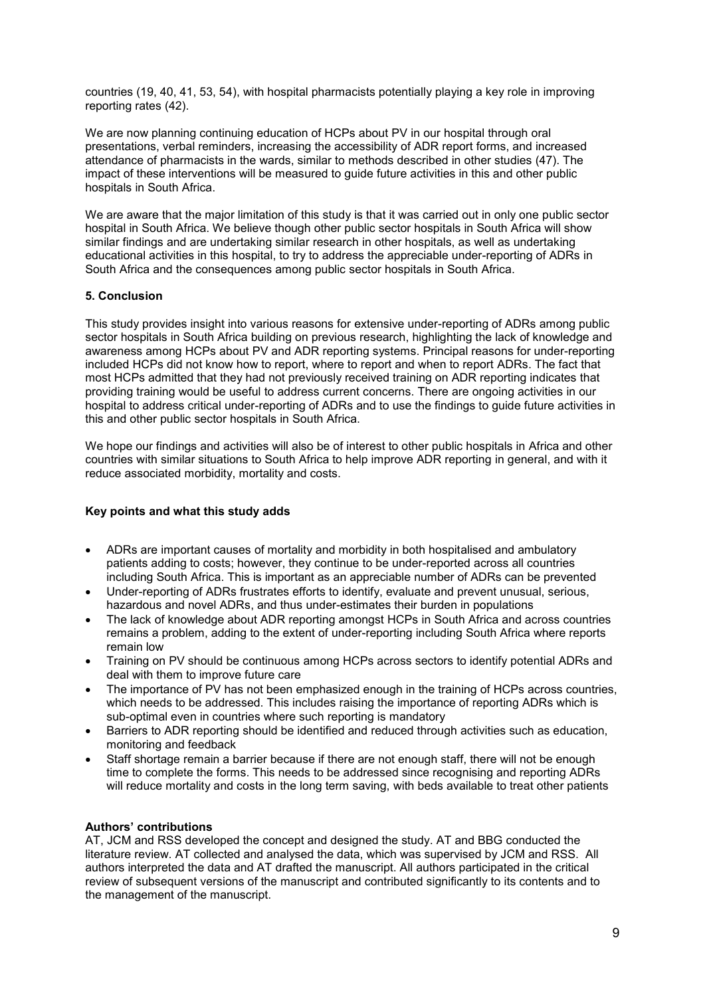countries (19, 40, 41, 53, 54), with hospital pharmacists potentially playing a key role in improving reporting rates (42).

We are now planning continuing education of HCPs about PV in our hospital through oral presentations, verbal reminders, increasing the accessibility of ADR report forms, and increased attendance of pharmacists in the wards, similar to methods described in other studies (47). The impact of these interventions will be measured to guide future activities in this and other public hospitals in South Africa.

We are aware that the major limitation of this study is that it was carried out in only one public sector hospital in South Africa. We believe though other public sector hospitals in South Africa will show similar findings and are undertaking similar research in other hospitals, as well as undertaking educational activities in this hospital, to try to address the appreciable under-reporting of ADRs in South Africa and the consequences among public sector hospitals in South Africa.

## **5. Conclusion**

This study provides insight into various reasons for extensive under-reporting of ADRs among public sector hospitals in South Africa building on previous research, highlighting the lack of knowledge and awareness among HCPs about PV and ADR reporting systems. Principal reasons for under-reporting included HCPs did not know how to report, where to report and when to report ADRs. The fact that most HCPs admitted that they had not previously received training on ADR reporting indicates that providing training would be useful to address current concerns. There are ongoing activities in our hospital to address critical under-reporting of ADRs and to use the findings to guide future activities in this and other public sector hospitals in South Africa.

We hope our findings and activities will also be of interest to other public hospitals in Africa and other countries with similar situations to South Africa to help improve ADR reporting in general, and with it reduce associated morbidity, mortality and costs.

## **Key points and what this study adds**

- ADRs are important causes of mortality and morbidity in both hospitalised and ambulatory patients adding to costs; however, they continue to be under-reported across all countries including South Africa. This is important as an appreciable number of ADRs can be prevented
- Under-reporting of ADRs frustrates efforts to identify, evaluate and prevent unusual, serious, hazardous and novel ADRs, and thus under-estimates their burden in populations
- The lack of knowledge about ADR reporting amongst HCPs in South Africa and across countries remains a problem, adding to the extent of under-reporting including South Africa where reports remain low
- Training on PV should be continuous among HCPs across sectors to identify potential ADRs and deal with them to improve future care
- The importance of PV has not been emphasized enough in the training of HCPs across countries, which needs to be addressed. This includes raising the importance of reporting ADRs which is sub-optimal even in countries where such reporting is mandatory
- Barriers to ADR reporting should be identified and reduced through activities such as education, monitoring and feedback
- Staff shortage remain a barrier because if there are not enough staff, there will not be enough time to complete the forms. This needs to be addressed since recognising and reporting ADRs will reduce mortality and costs in the long term saving, with beds available to treat other patients

## **Authors' contributions**

AT, JCM and RSS developed the concept and designed the study. AT and BBG conducted the literature review. AT collected and analysed the data, which was supervised by JCM and RSS. All authors interpreted the data and AT drafted the manuscript. All authors participated in the critical review of subsequent versions of the manuscript and contributed significantly to its contents and to the management of the manuscript.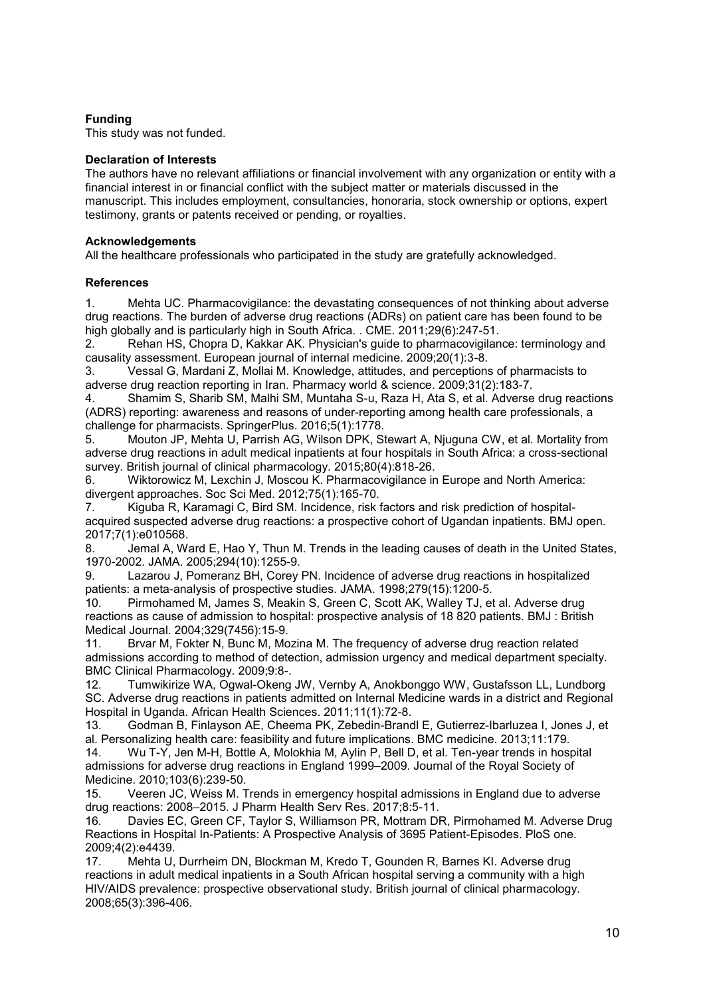# **Funding**

This study was not funded.

## **Declaration of Interests**

The authors have no relevant affiliations or financial involvement with any organization or entity with a financial interest in or financial conflict with the subject matter or materials discussed in the manuscript. This includes employment, consultancies, honoraria, stock ownership or options, expert testimony, grants or patents received or pending, or royalties.

#### **Acknowledgements**

All the healthcare professionals who participated in the study are gratefully acknowledged.

## **References**

1. Mehta UC. Pharmacovigilance: the devastating consequences of not thinking about adverse drug reactions. The burden of adverse drug reactions (ADRs) on patient care has been found to be high globally and is particularly high in South Africa. . CME. 2011;29(6):247-51.

2. Rehan HS, Chopra D, Kakkar AK. Physician's guide to pharmacovigilance: terminology and causality assessment. European journal of internal medicine. 2009;20(1):3-8.

3. Vessal G, Mardani Z, Mollai M. Knowledge, attitudes, and perceptions of pharmacists to adverse drug reaction reporting in Iran. Pharmacy world & science. 2009;31(2):183-7.

4. Shamim S, Sharib SM, Malhi SM, Muntaha S-u, Raza H, Ata S, et al. Adverse drug reactions (ADRS) reporting: awareness and reasons of under-reporting among health care professionals, a challenge for pharmacists. SpringerPlus. 2016;5(1):1778.

5. Mouton JP, Mehta U, Parrish AG, Wilson DPK, Stewart A, Njuguna CW, et al. Mortality from adverse drug reactions in adult medical inpatients at four hospitals in South Africa: a cross-sectional survey. British journal of clinical pharmacology. 2015;80(4):818-26.

6. Wiktorowicz M, Lexchin J, Moscou K. Pharmacovigilance in Europe and North America: divergent approaches. Soc Sci Med. 2012;75(1):165-70.

7. Kiguba R, Karamagi C, Bird SM. Incidence, risk factors and risk prediction of hospitalacquired suspected adverse drug reactions: a prospective cohort of Ugandan inpatients. BMJ open. 2017;7(1):e010568.

8. Jemal A, Ward E, Hao Y, Thun M. Trends in the leading causes of death in the United States, 1970-2002. JAMA. 2005;294(10):1255-9.

9. Lazarou J, Pomeranz BH, Corey PN. Incidence of adverse drug reactions in hospitalized patients: a meta-analysis of prospective studies. JAMA. 1998;279(15):1200-5.

10. Pirmohamed M, James S, Meakin S, Green C, Scott AK, Walley TJ, et al. Adverse drug reactions as cause of admission to hospital: prospective analysis of 18 820 patients. BMJ : British Medical Journal. 2004;329(7456):15-9.

11. Brvar M, Fokter N, Bunc M, Mozina M. The frequency of adverse drug reaction related admissions according to method of detection, admission urgency and medical department specialty. BMC Clinical Pharmacology. 2009;9:8-.

12. Tumwikirize WA, Ogwal-Okeng JW, Vernby A, Anokbonggo WW, Gustafsson LL, Lundborg SC. Adverse drug reactions in patients admitted on Internal Medicine wards in a district and Regional Hospital in Uganda. African Health Sciences. 2011;11(1):72-8.

13. Godman B, Finlayson AE, Cheema PK, Zebedin-Brandl E, Gutierrez-Ibarluzea I, Jones J, et al. Personalizing health care: feasibility and future implications. BMC medicine. 2013;11:179.

14. Wu T-Y, Jen M-H, Bottle A, Molokhia M, Aylin P, Bell D, et al. Ten-year trends in hospital admissions for adverse drug reactions in England 1999–2009. Journal of the Royal Society of Medicine. 2010;103(6):239-50.

15. Veeren JC, Weiss M. Trends in emergency hospital admissions in England due to adverse drug reactions: 2008–2015. J Pharm Health Serv Res. 2017;8:5-11.

16. Davies EC, Green CF, Taylor S, Williamson PR, Mottram DR, Pirmohamed M. Adverse Drug Reactions in Hospital In-Patients: A Prospective Analysis of 3695 Patient-Episodes. PloS one. 2009;4(2):e4439.

17. Mehta U, Durrheim DN, Blockman M, Kredo T, Gounden R, Barnes KI. Adverse drug reactions in adult medical inpatients in a South African hospital serving a community with a high HIV/AIDS prevalence: prospective observational study. British journal of clinical pharmacology. 2008;65(3):396-406.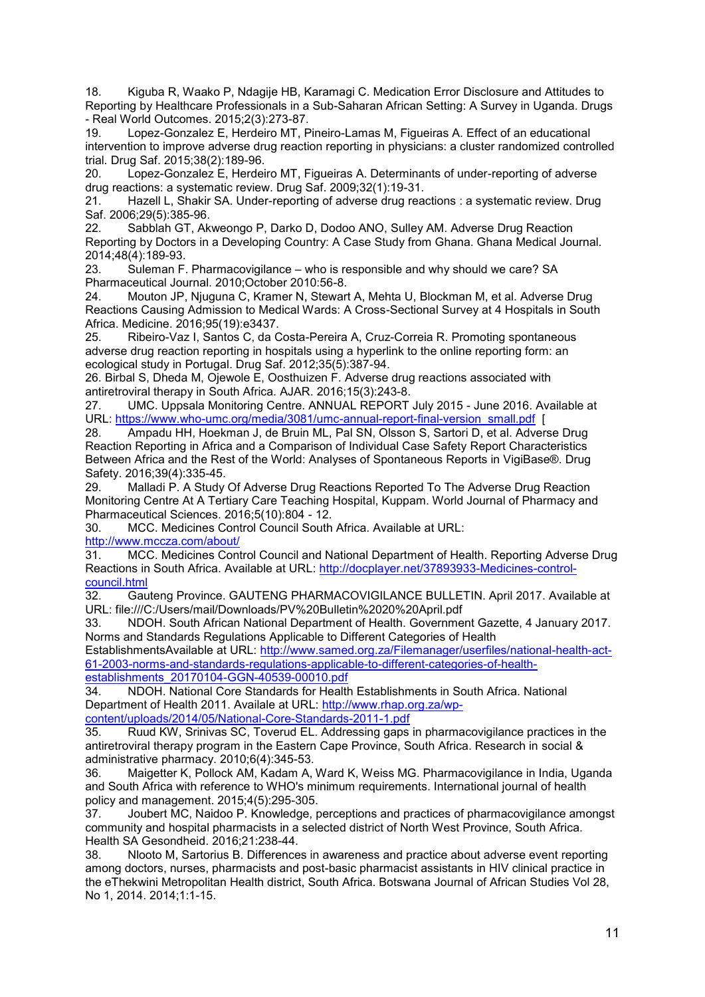18. Kiguba R, Waako P, Ndagije HB, Karamagi C. Medication Error Disclosure and Attitudes to Reporting by Healthcare Professionals in a Sub-Saharan African Setting: A Survey in Uganda. Drugs - Real World Outcomes. 2015;2(3):273-87.

19. Lopez-Gonzalez E, Herdeiro MT, Pineiro-Lamas M, Figueiras A. Effect of an educational intervention to improve adverse drug reaction reporting in physicians: a cluster randomized controlled trial. Drug Saf. 2015;38(2):189-96.

20. Lopez-Gonzalez E, Herdeiro MT, Figueiras A. Determinants of under-reporting of adverse drug reactions: a systematic review. Drug Saf. 2009;32(1):19-31.

21. Hazell L, Shakir SA. Under-reporting of adverse drug reactions : a systematic review. Drug Saf. 2006;29(5):385-96.

22. Sabblah GT, Akweongo P, Darko D, Dodoo ANO, Sulley AM. Adverse Drug Reaction Reporting by Doctors in a Developing Country: A Case Study from Ghana. Ghana Medical Journal. 2014;48(4):189-93.

23. Suleman F. Pharmacovigilance – who is responsible and why should we care? SA Pharmaceutical Journal. 2010;October 2010:56-8.

24. Mouton JP, Njuguna C, Kramer N, Stewart A, Mehta U, Blockman M, et al. Adverse Drug Reactions Causing Admission to Medical Wards: A Cross-Sectional Survey at 4 Hospitals in South Africa. Medicine. 2016;95(19):e3437.

25. Ribeiro-Vaz I, Santos C, da Costa-Pereira A, Cruz-Correia R. Promoting spontaneous adverse drug reaction reporting in hospitals using a hyperlink to the online reporting form: an ecological study in Portugal. Drug Saf. 2012;35(5):387-94.

26. Birbal S, Dheda M, Ojewole E, Oosthuizen F. Adverse drug reactions associated with antiretroviral therapy in South Africa. AJAR. 2016;15(3):243-8.

27. UMC. Uppsala Monitoring Centre. ANNUAL REPORT July 2015 - June 2016. Available at URL: [https://www.who-umc.org/media/3081/umc-annual-report-final-version\\_small.pdf](https://www.who-umc.org/media/3081/umc-annual-report-final-version_small.pdf) [

28. Ampadu HH, Hoekman J, de Bruin ML, Pal SN, Olsson S, Sartori D, et al. Adverse Drug Reaction Reporting in Africa and a Comparison of Individual Case Safety Report Characteristics Between Africa and the Rest of the World: Analyses of Spontaneous Reports in VigiBase®. Drug Safety. 2016;39(4):335-45.

29. Malladi P. A Study Of Adverse Drug Reactions Reported To The Adverse Drug Reaction Monitoring Centre At A Tertiary Care Teaching Hospital, Kuppam. World Journal of Pharmacy and Pharmaceutical Sciences. 2016;5(10):804 - 12.

30. MCC. Medicines Control Council South Africa. Available at URL: <http://www.mccza.com/about/>

31. MCC. Medicines Control Council and National Department of Health. Reporting Adverse Drug Reactions in South Africa. Available at URL: [http://docplayer.net/37893933-Medicines-control](http://docplayer.net/37893933-Medicines-control-council.html)[council.html](http://docplayer.net/37893933-Medicines-control-council.html) 

32. Gauteng Province. GAUTENG PHARMACOVIGILANCE BULLETIN. April 2017. Available at URL: file:///C:/Users/mail/Downloads/PV%20Bulletin%2020%20April.pdf

33. NDOH. South African National Department of Health. Government Gazette, 4 January 2017. Norms and Standards Regulations Applicable to Different Categories of Health

EstablishmentsAvailable at URL: [http://www.samed.org.za/Filemanager/userfiles/national-health-act-](http://www.samed.org.za/Filemanager/userfiles/national-health-act-61-2003-norms-and-standards-regulations-applicable-to-different-categories-of-health-establishments_20170104-GGN-40539-00010.pdf)[61-2003-norms-and-standards-regulations-applicable-to-different-categories-of-health](http://www.samed.org.za/Filemanager/userfiles/national-health-act-61-2003-norms-and-standards-regulations-applicable-to-different-categories-of-health-establishments_20170104-GGN-40539-00010.pdf)[establishments\\_20170104-GGN-40539-00010.pdf](http://www.samed.org.za/Filemanager/userfiles/national-health-act-61-2003-norms-and-standards-regulations-applicable-to-different-categories-of-health-establishments_20170104-GGN-40539-00010.pdf) 

34. NDOH. National Core Standards for Health Establishments in South Africa. National Department of Health 2011. Availale at URL: [http://www.rhap.org.za/wp](http://www.rhap.org.za/wp-content/uploads/2014/05/National-Core-Standards-2011-1.pdf)[content/uploads/2014/05/National-Core-Standards-2011-1.pdf](http://www.rhap.org.za/wp-content/uploads/2014/05/National-Core-Standards-2011-1.pdf) 

35. Ruud KW, Srinivas SC, Toverud EL. Addressing gaps in pharmacovigilance practices in the antiretroviral therapy program in the Eastern Cape Province, South Africa. Research in social & administrative pharmacy. 2010;6(4):345-53.

36. Maigetter K, Pollock AM, Kadam A, Ward K, Weiss MG. Pharmacovigilance in India, Uganda and South Africa with reference to WHO's minimum requirements. International journal of health policy and management. 2015;4(5):295-305.

37. Joubert MC, Naidoo P. Knowledge, perceptions and practices of pharmacovigilance amongst community and hospital pharmacists in a selected district of North West Province, South Africa. Health SA Gesondheid. 2016;21:238-44.

38. Nlooto M, Sartorius B. Differences in awareness and practice about adverse event reporting among doctors, nurses, pharmacists and post-basic pharmacist assistants in HIV clinical practice in the eThekwini Metropolitan Health district, South Africa. Botswana Journal of African Studies Vol 28, No 1, 2014. 2014;1:1-15.